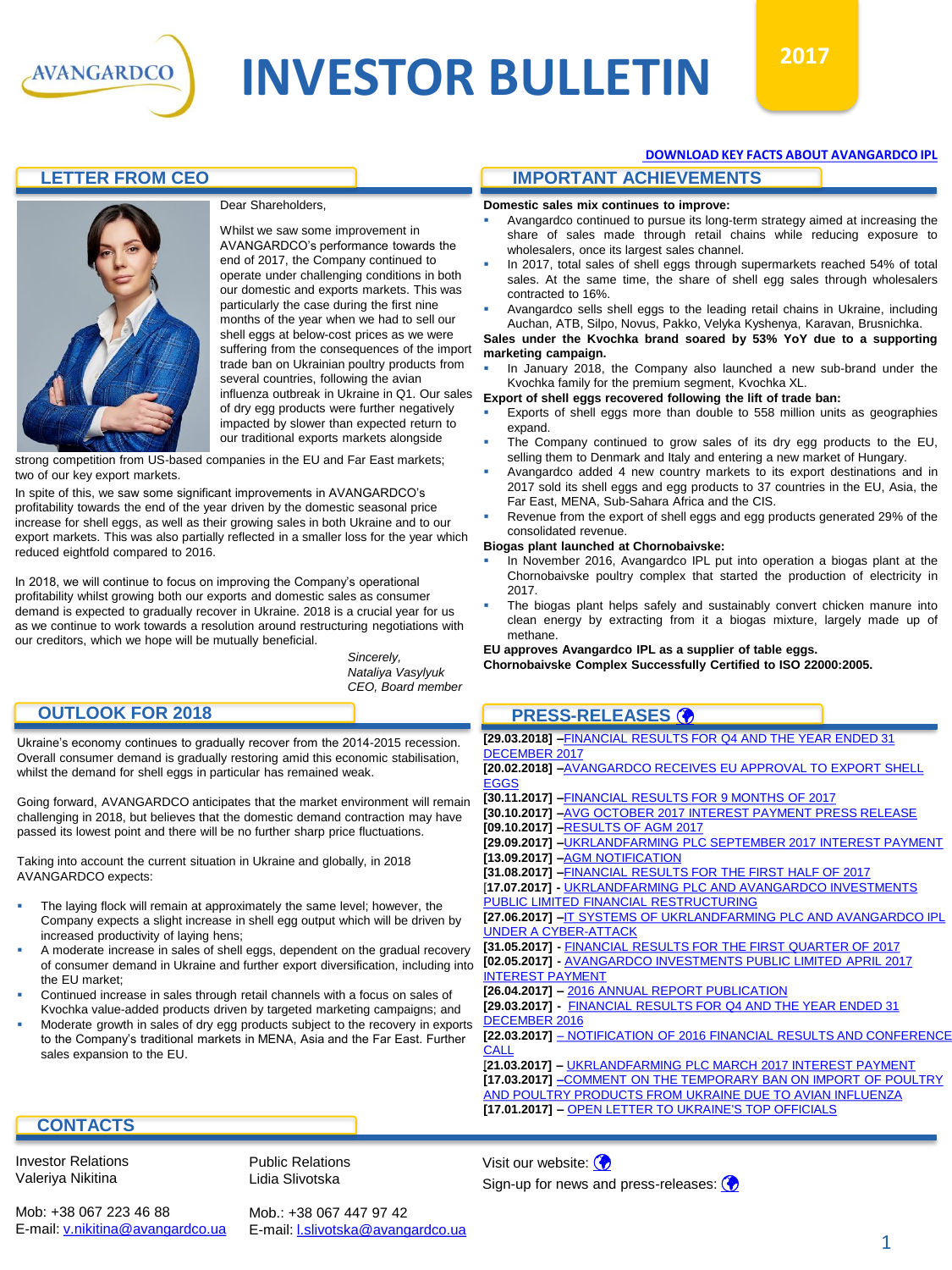

# **INVESTOR BULLETIN**  $2017$



Dear Shareholders,

Whilst we saw some improvement in AVANGARDCO's performance towards the end of 2017, the Company continued to operate under challenging conditions in both our domestic and exports markets. This was particularly the case during the first nine months of the year when we had to sell our shell eggs at below-cost prices as we were suffering from the consequences of the import trade ban on Ukrainian poultry products from several countries, following the avian influenza outbreak in Ukraine in Q1. Our sales of dry egg products were further negatively impacted by slower than expected return to our traditional exports markets alongside

strong competition from US-based companies in the EU and Far East markets; two of our key export markets.

In spite of this, we saw some significant improvements in AVANGARDCO's profitability towards the end of the year driven by the domestic seasonal price increase for shell eggs, as well as their growing sales in both Ukraine and to our export markets. This was also partially reflected in a smaller loss for the year which reduced eightfold compared to 2016.

In 2018, we will continue to focus on improving the Company's operational profitability whilst growing both our exports and domestic sales as consumer demand is expected to gradually recover in Ukraine. 2018 is a crucial year for us as we continue to work towards a resolution around restructuring negotiations with our creditors, which we hope will be mutually beneficial.

*Sincerely, Nataliya Vasylyuk CEO, Board member*

#### **OUTLOOK FOR 2018**

Ukraine's economy continues to gradually recover from the 2014-2015 recession. Overall consumer demand is gradually restoring amid this economic stabilisation, whilst the demand for shell eggs in particular has remained weak.

Going forward, AVANGARDCO anticipates that the market environment will remain challenging in 2018, but believes that the domestic demand contraction may have passed its lowest point and there will be no further sharp price fluctuations.

Taking into account the current situation in Ukraine and globally, in 2018 AVANGARDCO expects:

- The laying flock will remain at approximately the same level; however, the Company expects a slight increase in shell egg output which will be driven by increased productivity of laying hens;
- A moderate increase in sales of shell eggs, dependent on the gradual recovery of consumer demand in Ukraine and further export diversification, including into the EU market;
- Continued increase in sales through retail channels with a focus on sales of Kvochka value-added products driven by targeted marketing campaigns; and
- Moderate growth in sales of dry egg products subject to the recovery in exports to the Company's traditional markets in MENA, Asia and the Far East. Further sales expansion to the EU.

# **[DOWNLOAD KEY FACTS ABOUT AVANGARDCO IPL](http://avangardco.ua/en/investor-relations/data-book/fact-sheet/)**

# **LETTER FROM CEO IMPORTANT ACHIEVEMENTS**

**Domestic sales mix continues to improve:**

- Avangardco continued to pursue its long-term strategy aimed at increasing the share of sales made through retail chains while reducing exposure to wholesalers, once its largest sales channel.
- In 2017, total sales of shell eggs through supermarkets reached 54% of total sales. At the same time, the share of shell egg sales through wholesalers contracted to 16%.
- Avangardco sells shell eggs to the leading retail chains in Ukraine, including Auchan, ATB, Silpo, Novus, Pakko, Velyka Kyshenya, Karavan, Brusnichka.

#### **Sales under the Kvochka brand soared by 53% YoY due to a supporting marketing campaign.**

In January 2018, the Company also launched a new sub-brand under the Kvochka family for the premium segment, Kvochka XL.

#### **Export of shell eggs recovered following the lift of trade ban:**

- Exports of shell eggs more than double to 558 million units as geographies expand.
- The Company continued to grow sales of its dry egg products to the EU, selling them to Denmark and Italy and entering a new market of Hungary.
- Avangardco added 4 new country markets to its export destinations and in 2017 sold its shell eggs and egg products to 37 countries in the EU, Asia, the Far East, MENA, Sub-Sahara Africa and the CIS.
- Revenue from the export of shell eggs and egg products generated 29% of the consolidated revenue.

#### **Biogas plant launched at Chornobaivske:**

- In November 2016, Avangardco IPL put into operation a biogas plant at the Chornobaivske poultry complex that started the production of electricity in 2017.
- The biogas plant helps safely and sustainably convert chicken manure into clean energy by extracting from it a biogas mixture, largely made up of methane.

#### **EU approves Avangardco IPL as a supplier of table eggs.**

**Chornobaivske Complex Successfully Certified to ISO 22000:2005.**

# **PRESS-RELEASES**

| [29.03.2018] -FINANCIAL RESULTS FOR Q4 AND THE YEAR ENDED 31         |
|----------------------------------------------------------------------|
| DECEMBER 2017                                                        |
| [20.02.2018] -AVANGARDCO RECEIVES EU APPROVAL TO EXPORT SHELL        |
| <b>EGGS</b>                                                          |
| [30.11.2017] - FINANCIAL RESULTS FOR 9 MONTHS OF 2017                |
| [30.10.2017] -AVG OCTOBER 2017 INTEREST PAYMENT PRESS RELEASE        |
| [09.10.2017] -RESULTS OF AGM 2017                                    |
| [29.09.2017] -UKRLANDFARMING PLC SEPTEMBER 2017 INTEREST PAYMENT     |
| [13.09.2017] - AGM NOTIFICATION                                      |
| [31.08.2017] - FINANCIAL RESULTS FOR THE FIRST HALF OF 2017          |
| [17.07.2017] - UKRLANDFARMING PLC AND AVANGARDCO INVESTMENTS         |
| PUBLIC LIMITED FINANCIAL RESTRUCTURING                               |
| [27.06.2017] – IT SYSTEMS OF UKRLANDFARMING PLC AND AVANGARDCO IPL   |
| <b>UNDER A CYBER-ATTACK</b>                                          |
| [31.05.2017] - FINANCIAL RESULTS FOR THE FIRST QUARTER OF 2017       |
| [02.05.2017] - AVANGARDCO INVESTMENTS PUBLIC LIMITED APRIL 2017      |
| <b>INTEREST PAYMENT</b>                                              |
| [26.04.2017] - 2016 ANNUAL REPORT PUBLICATION                        |
| [29.03.2017] - FINANCIAL RESULTS FOR Q4 AND THE YEAR ENDED 31        |
| DECEMBER 2016                                                        |
| [22.03.2017] - NOTIFICATION OF 2016 FINANCIAL RESULTS AND CONFERENCE |
| CALL                                                                 |
| [21.03.2017] - UKRLANDFARMING PLC MARCH 2017 INTEREST PAYMENT        |
| [17.03.2017] - COMMENT ON THE TEMPORARY BAN ON IMPORT OF POULTRY     |
| AND POULTRY PRODUCTS FROM UKRAINE DUE TO AVIAN INFLUENZA             |
| [17.01.2017] - OPEN LETTER TO UKRAINE'S TOP OFFICIALS                |
|                                                                      |

### **CONTACTS**

Investor Relations Valeriya Nikitina

Public Relations Lidia Slivotska

Mob: +38 067 223 46 88 E-mail: [v.nikitina@avangardco.ua](mailto:ir@avangardco.ua) Mob.: +38 067 447 97 42 E-mail: [l.slivotska@avangardco.ua](mailto:l.slivotska@avangardco.ua) Visit our website: **O** Sign-up for news and press-releases: **O**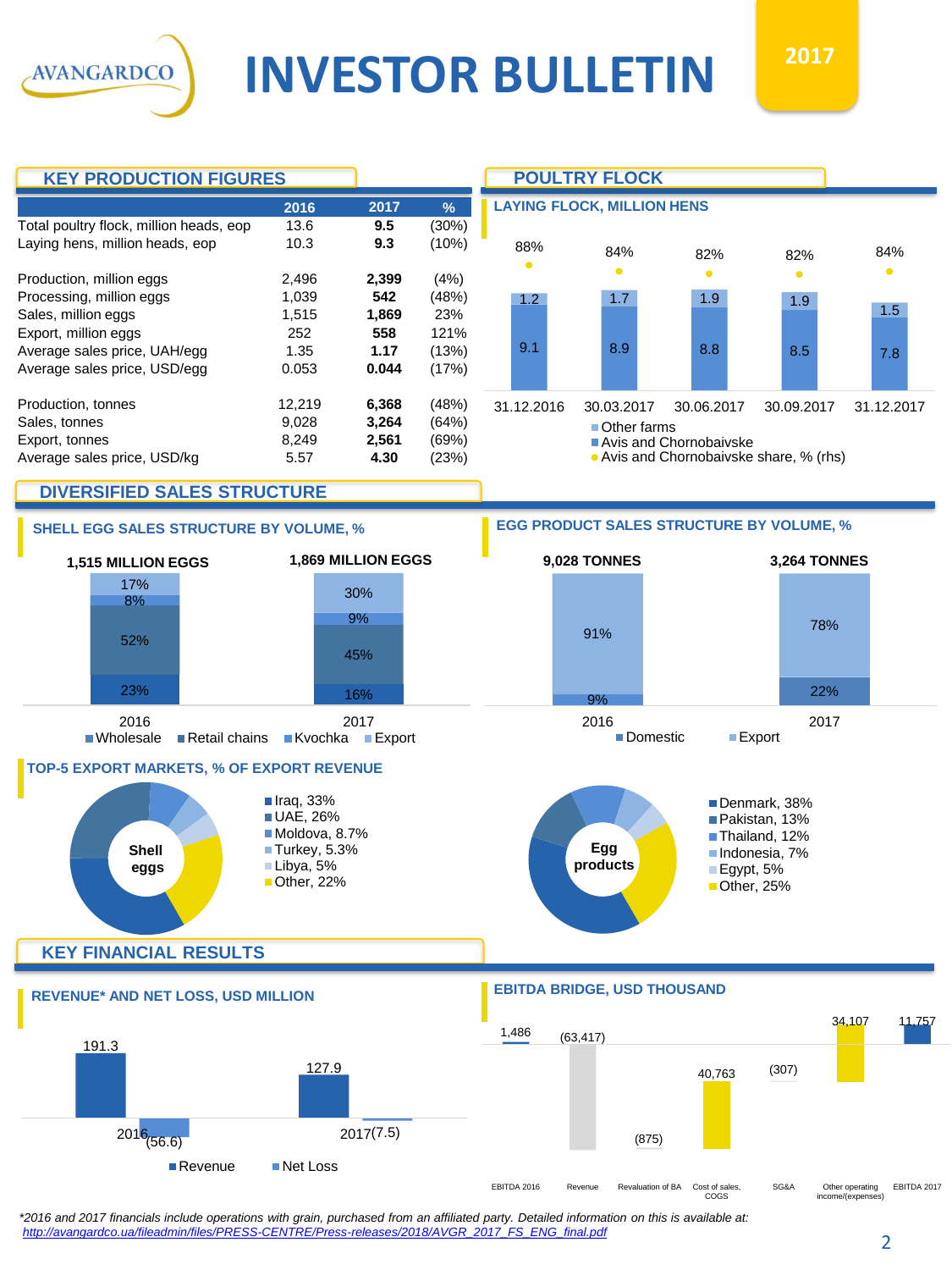**AVANGARDCO** 



*\*2016 and 2017 financials include operations with grain, purchased from an affiliated party. Detailed information on this is available at: [http://avangardco.ua/fileadmin/files/PRESS-CENTRE/Press-releases/2018/AVGR\\_2017\\_FS\\_ENG\\_final.pdf](http://avangardco.ua/fileadmin/files/PRESS-CENTRE/Press-releases/2018/AVGR_2017_FS_ENG_final.pdf)*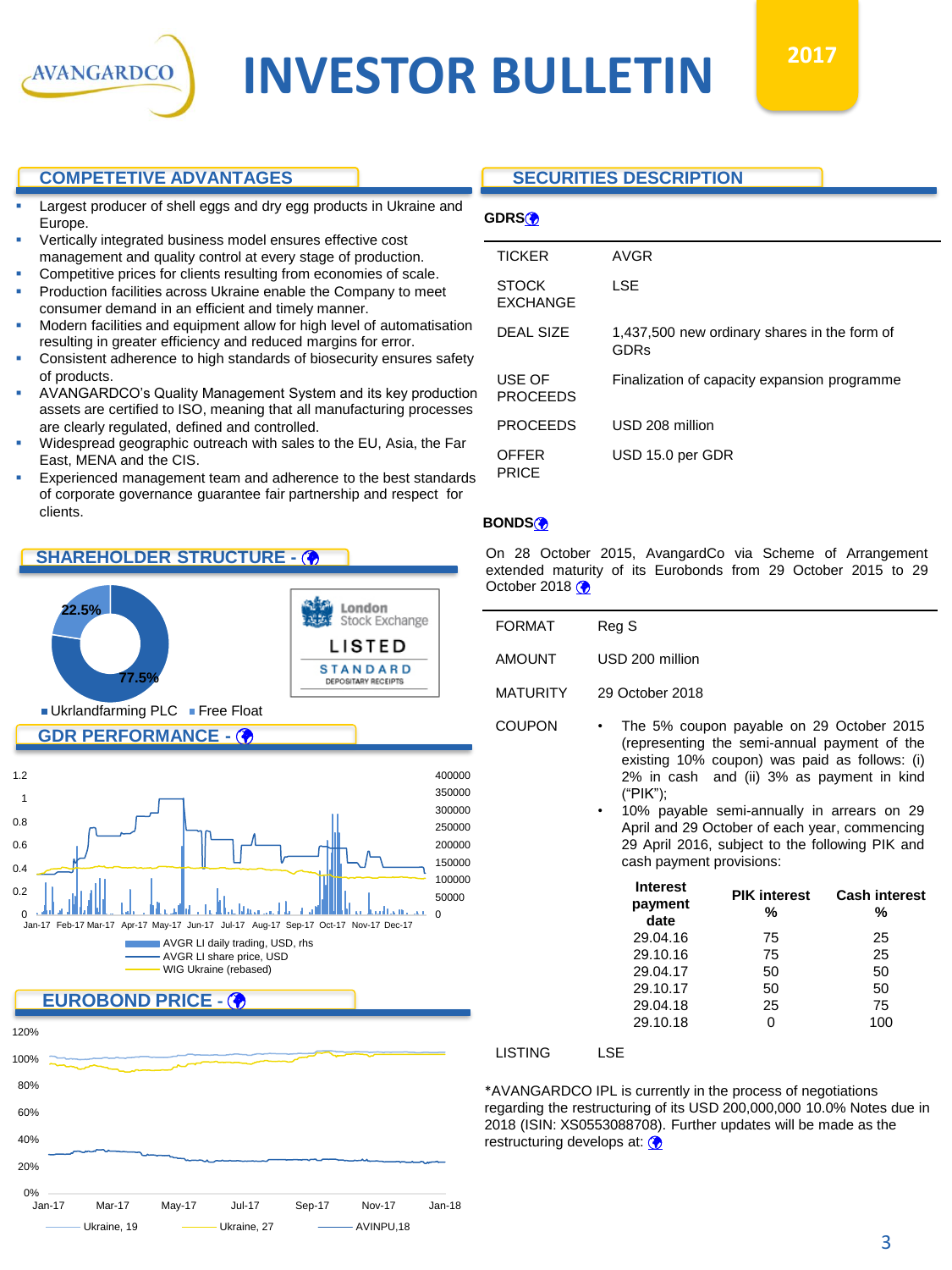

# **INVESTOR BULLETIN**

#### **COMPETETIVE ADVANTAGES**

- Largest producer of shell eggs and dry egg products in Ukraine and Europe.
- Vertically integrated business model ensures effective cost
- management and quality control at every stage of production.
- Competitive prices for clients resulting from economies of scale. Production facilities across Ukraine enable the Company to meet
- consumer demand in an efficient and timely manner. Modern facilities and equipment allow for high level of automatisation resulting in greater efficiency and reduced margins for error.
- Consistent adherence to high standards of biosecurity ensures safety of products.
- AVANGARDCO's Quality Management System and its key production assets are certified to ISO, meaning that all manufacturing processes are clearly regulated, defined and controlled.
- Widespread geographic outreach with sales to the EU, Asia, the Far East, MENA and the CIS.
- Experienced management team and adherence to the best standards of corporate governance guarantee fair partnership and respect for clients.

# **SHAREHOLDER STRUCTURE -**





### **SECURITIES DESCRIPTION**

| r.<br>× |  |
|---------|--|

| AVGR                                                 |
|------------------------------------------------------|
| LSE                                                  |
| 1,437,500 new ordinary shares in the form of<br>GDRs |
| Finalization of capacity expansion programme         |
| USD 208 million                                      |
| USD 15.0 per GDR                                     |
|                                                      |

#### **BONDS**

On 28 October 2015, AvangardCo via Scheme of Arrangement extended maturity of its Eurobonds from 29 October 2015 to 29 October 2018 $\circledast$ 

| <b>FORMAT</b>   | Reg S                                                                                                                                                                                               |
|-----------------|-----------------------------------------------------------------------------------------------------------------------------------------------------------------------------------------------------|
| <b>AMOUNT</b>   | USD 200 million                                                                                                                                                                                     |
| <b>MATURITY</b> | 29 October 2018                                                                                                                                                                                     |
| <b>COUPON</b>   | The 5% coupon payable on 29 October 2015<br>$\bullet$<br>(representing the semi-annual payment of the<br>existing 10% coupon) was paid as follows: (i)<br>2% in cash and (ii) 3% as payment in kind |

("PIK"); • 10% payable semi-annually in arrears on 29 April and 29 October of each year, commencing 29 April 2016, subject to the following PIK and cash payment provisions:

| <b>PIK interest</b><br>% | <b>Cash interest</b><br>% |
|--------------------------|---------------------------|
| 75                       | 25                        |
| 75                       | 25                        |
| 50                       | 50                        |
| 50                       | 50                        |
| 25                       | 75                        |
|                          | 100                       |
|                          |                           |

#### LISTING LSE

\*AVANGARDCO IPL is currently in the process of negotiations regarding the restructuring of its USD 200,000,000 10.0% Notes due in 2018 (ISIN: XS0553088708). Further updates will be made as the restructuring develops at: (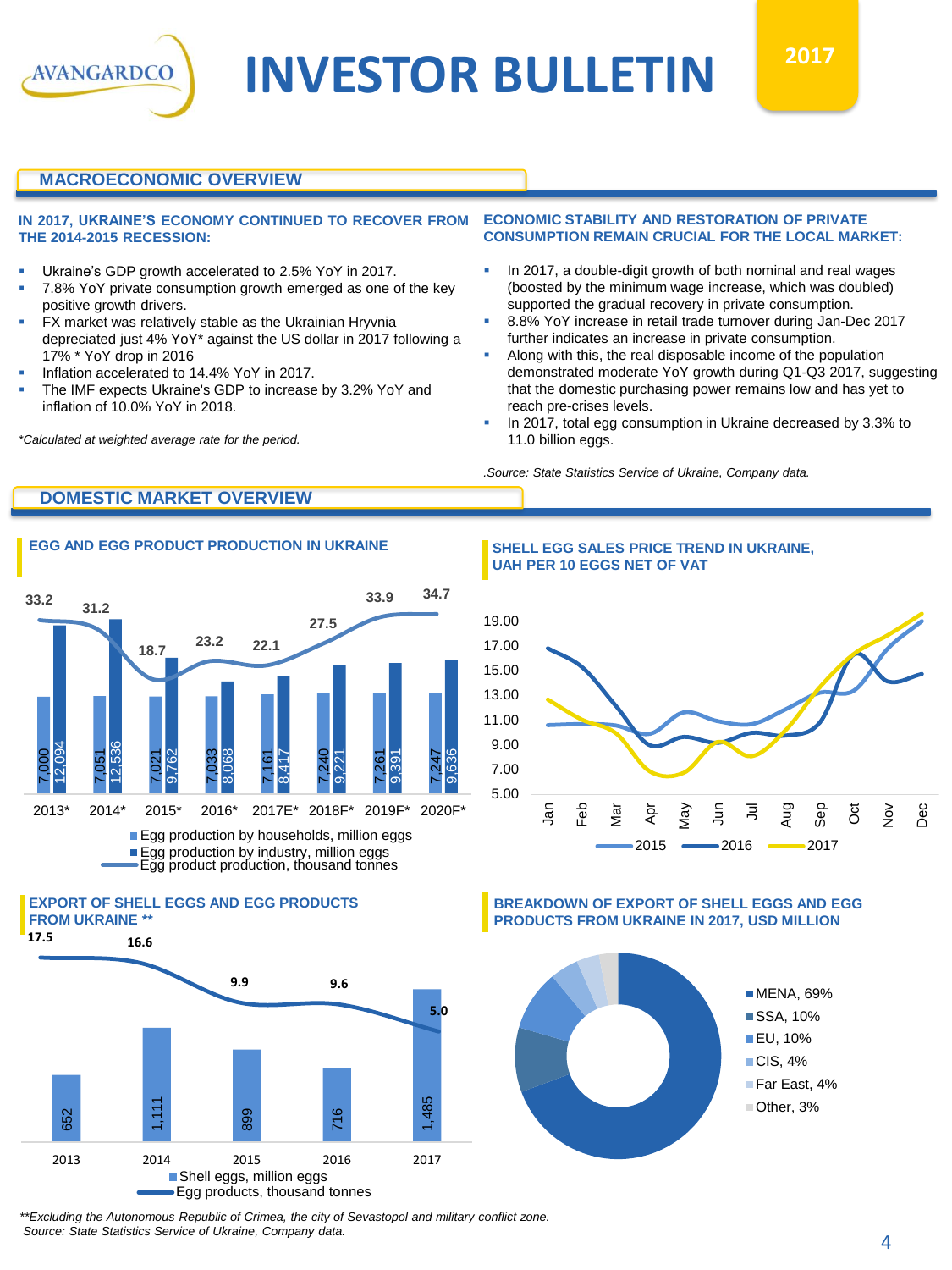

# **MACROECONOMIC OVERVIEW**

**AVANGARDCO** 

#### **IN 2017, UKRAINE'S ECONOMY CONTINUED TO RECOVER FROM THE 2014-2015 RECESSION:**

- Ukraine's GDP growth accelerated to 2.5% YoY in 2017.
- 7.8% YoY private consumption growth emerged as one of the key positive growth drivers.
- **FX market was relatively stable as the Ukrainian Hryvnia** depreciated just 4% YoY\* against the US dollar in 2017 following a 17% \* YoY drop in 2016
- Inflation accelerated to 14.4% YoY in 2017.
- The IMF expects Ukraine's GDP to increase by 3.2% YoY and inflation of 10.0% YoY in 2018.

*\*Calculated at weighted average rate for the period.*

#### **ECONOMIC STABILITY AND RESTORATION OF PRIVATE CONSUMPTION REMAIN CRUCIAL FOR THE LOCAL MARKET:**

- In 2017, a double-digit growth of both nominal and real wages (boosted by the minimum wage increase, which was doubled) supported the gradual recovery in private consumption.
- 8.8% YoY increase in retail trade turnover during Jan-Dec 2017 further indicates an increase in private consumption.
- Along with this, the real disposable income of the population demonstrated moderate YoY growth during Q1-Q3 2017, suggesting that the domestic purchasing power remains low and has yet to reach pre-crises levels.
- In 2017, total egg consumption in Ukraine decreased by 3.3% to 11.0 billion eggs.

*.Source: State Statistics Service of Ukraine, Company data.*

# **DOMESTIC MARKET OVERVIEW**







**EGG AND EGG PRODUCT PRODUCTION IN UKRAINE SHELL EGG SALES PRICE TREND IN UKRAINE, UAH PER 10 EGGS NET OF VAT**



**BREAKDOWN OF EXPORT OF SHELL EGGS AND EGG PRODUCTS FROM UKRAINE IN 2017, USD MILLION**



*\*\*Excluding the Autonomous Republic of Crimea, the city of Sevastopol and military conflict zone. Source: State Statistics Service of Ukraine, Company data.*